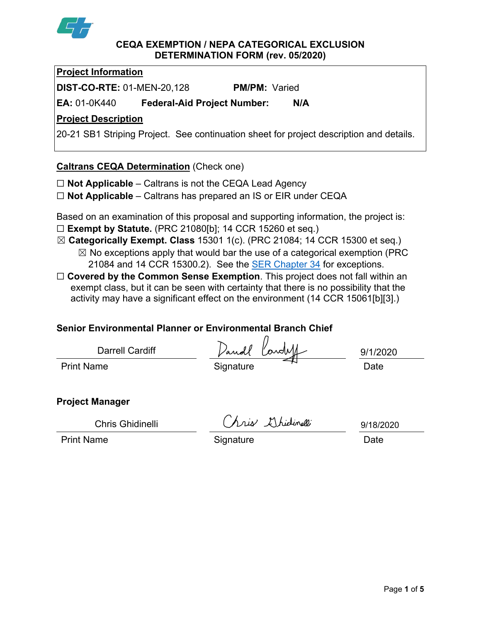

#### **CEQA EXEMPTION / NEPA CATEGORICAL EXCLUSION DETERMINATION FORM (rev. 05/2020)**

**Project Information**

**DIST-CO-RTE:** 01-MEN-20,128 **PM/PM:** Varied

**EA:** 01-0K440 **Federal-Aid Project Number: N/A**

# **Project Description**

20-21 SB1 Striping Project. See continuation sheet for project description and details.

## **Caltrans CEQA Determination** (Check one)

☐ **Not Applicable** – Caltrans is not the CEQA Lead Agency

☐ **Not Applicable** – Caltrans has prepared an IS or EIR under CEQA

Based on an examination of this proposal and supporting information, the project is: ☐ **Exempt by Statute.** (PRC 21080[b]; 14 CCR 15260 et seq.)

- ☒ **Categorically Exempt. Class** 15301 1(c). (PRC 21084; 14 CCR 15300 et seq.)  $\boxtimes$  No exceptions apply that would bar the use of a categorical exemption (PRC 21084 and 14 CCR 15300.2). See the [SER Chapter 34](https://dot.ca.gov/programs/environmental-analysis/standard-environmental-reference-ser/volume-1-guidance-for-compliance/ch-34-exemptions-to-ceqa#except) for exceptions.
- □ **Covered by the Common Sense Exemption**. This project does not fall within an exempt class, but it can be seen with certainty that there is no possibility that the activity may have a significant effect on the environment (14 CCR 15061[b][3].)

# **Senior Environmental Planner or Environmental Branch Chief**

| <b>Darrell Cardiff</b> | Dandl<br>" Cardell | 9/1/2020 |
|------------------------|--------------------|----------|
| <b>Print Name</b>      | Signature          | Date     |

## **Project Manager**

Chris Ghidinelli

Chris Ghidinelli<br>Print Name Date Signature Date

9/18/2020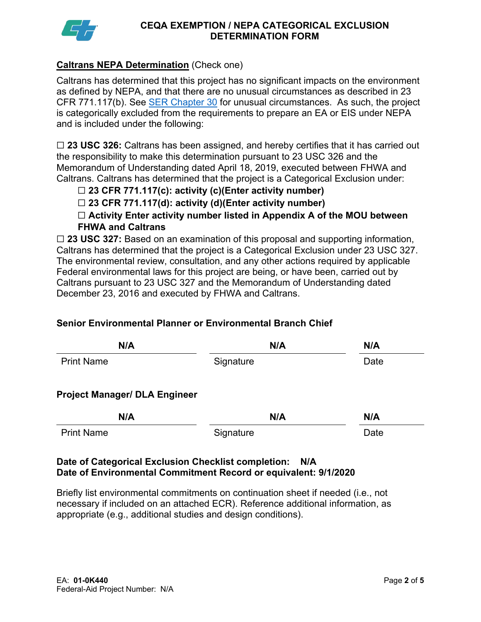

#### **CEQA EXEMPTION / NEPA CATEGORICAL EXCLUSION DETERMINATION FORM**

## **Caltrans NEPA Determination** (Check one)

Caltrans has determined that this project has no significant impacts on the environment as defined by NEPA, and that there are no unusual circumstances as described in 23 CFR 771.117(b). See **SER Chapter 30** for unusual circumstances. As such, the project is categorically excluded from the requirements to prepare an EA or EIS under NEPA and is included under the following:

☐ **23 USC 326:** Caltrans has been assigned, and hereby certifies that it has carried out the responsibility to make this determination pursuant to 23 USC 326 and the Memorandum of Understanding dated April 18, 2019, executed between FHWA and Caltrans. Caltrans has determined that the project is a Categorical Exclusion under:

## ☐ **23 CFR 771.117(c): activity (c)(Enter activity number)**

☐ **23 CFR 771.117(d): activity (d)(Enter activity number)**

☐ **Activity Enter activity number listed in Appendix A of the MOU between FHWA and Caltrans**

☐ **23 USC 327:** Based on an examination of this proposal and supporting information, Caltrans has determined that the project is a Categorical Exclusion under 23 USC 327. The environmental review, consultation, and any other actions required by applicable Federal environmental laws for this project are being, or have been, carried out by Caltrans pursuant to 23 USC 327 and the Memorandum of Understanding dated December 23, 2016 and executed by FHWA and Caltrans.

## **Senior Environmental Planner or Environmental Branch Chief**

| N/A                                  | N/A       | N/A  |
|--------------------------------------|-----------|------|
| <b>Print Name</b>                    | Signature | Date |
| <b>Project Manager/ DLA Engineer</b> |           |      |
| N/A                                  | N/A       | N/A  |
| <b>Print Name</b>                    | Signature | Date |

#### **Date of Categorical Exclusion Checklist completion: N/A Date of Environmental Commitment Record or equivalent: 9/1/2020**

Briefly list environmental commitments on continuation sheet if needed (i.e., not necessary if included on an attached ECR). Reference additional information, as appropriate (e.g., additional studies and design conditions).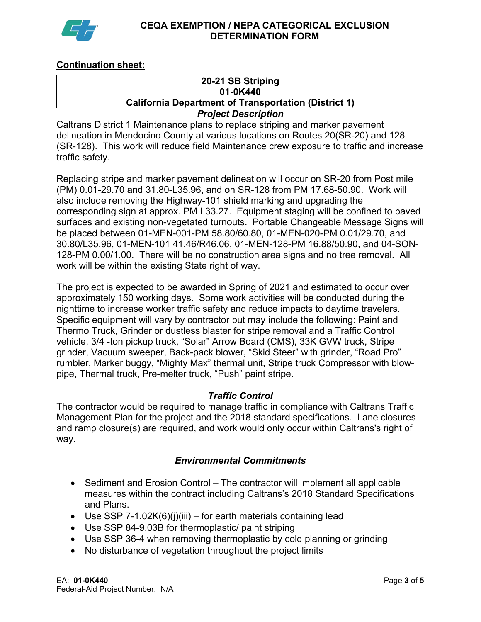

#### **CEQA EXEMPTION / NEPA CATEGORICAL EXCLUSION DETERMINATION FORM**

## **Continuation sheet:**

#### **20-21 SB Striping 01-0K440 California Department of Transportation (District 1)** *Project Description*

## Caltrans District 1 Maintenance plans to replace striping and marker pavement delineation in Mendocino County at various locations on Routes 20(SR-20) and 128 (SR-128). This work will reduce field Maintenance crew exposure to traffic and increase traffic safety.

Replacing stripe and marker pavement delineation will occur on SR-20 from Post mile (PM) 0.01-29.70 and 31.80-L35.96, and on SR-128 from PM 17.68-50.90. Work will also include removing the Highway-101 shield marking and upgrading the corresponding sign at approx. PM L33.27. Equipment staging will be confined to paved surfaces and existing non-vegetated turnouts. Portable Changeable Message Signs will be placed between 01-MEN-001-PM 58.80/60.80, 01-MEN-020-PM 0.01/29.70, and 30.80/L35.96, 01-MEN-101 41.46/R46.06, 01-MEN-128-PM 16.88/50.90, and 04-SON-128-PM 0.00/1.00. There will be no construction area signs and no tree removal. All work will be within the existing State right of way.

The project is expected to be awarded in Spring of 2021 and estimated to occur over approximately 150 working days. Some work activities will be conducted during the nighttime to increase worker traffic safety and reduce impacts to daytime travelers. Specific equipment will vary by contractor but may include the following: Paint and Thermo Truck, Grinder or dustless blaster for stripe removal and a Traffic Control vehicle, 3/4 -ton pickup truck, "Solar" Arrow Board (CMS), 33K GVW truck, Stripe grinder, Vacuum sweeper, Back-pack blower, "Skid Steer" with grinder, "Road Pro" rumbler, Marker buggy, "Mighty Max" thermal unit, Stripe truck Compressor with blowpipe, Thermal truck, Pre-melter truck, "Push" paint stripe.

## *Traffic Control*

The contractor would be required to manage traffic in compliance with Caltrans Traffic Management Plan for the project and the 2018 standard specifications. Lane closures and ramp closure(s) are required, and work would only occur within Caltrans's right of way.

## *Environmental Commitments*

- Sediment and Erosion Control The contractor will implement all applicable measures within the contract including Caltrans's 2018 Standard Specifications and Plans.
- Use SSP 7-1.02K(6)(j)(iii) for earth materials containing lead
- Use SSP 84-9.03B for thermoplastic/ paint striping
- Use SSP 36-4 when removing thermoplastic by cold planning or grinding
- No disturbance of vegetation throughout the project limits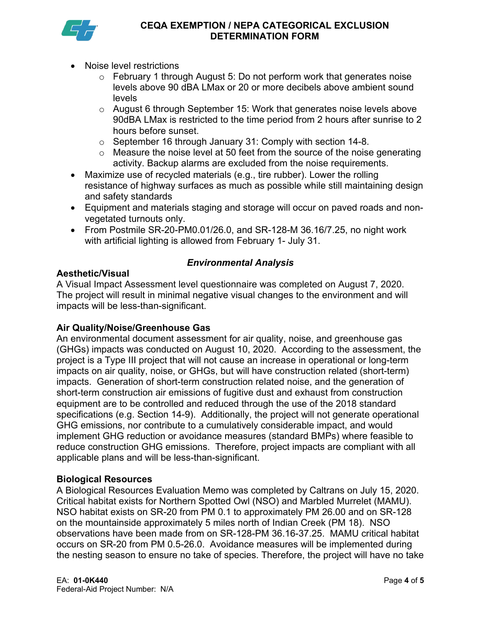

- Noise level restrictions
	- $\circ$  February 1 through August 5: Do not perform work that generates noise levels above 90 dBA LMax or 20 or more decibels above ambient sound levels
	- o August 6 through September 15: Work that generates noise levels above 90dBA LMax is restricted to the time period from 2 hours after sunrise to 2 hours before sunset.
	- o September 16 through January 31: Comply with section 14-8.
	- $\circ$  Measure the noise level at 50 feet from the source of the noise generating activity. Backup alarms are excluded from the noise requirements.
- Maximize use of recycled materials (e.g., tire rubber). Lower the rolling resistance of highway surfaces as much as possible while still maintaining design and safety standards
- Equipment and materials staging and storage will occur on paved roads and nonvegetated turnouts only.
- From Postmile SR-20-PM0.01/26.0, and SR-128-M 36.16/7.25, no night work with artificial lighting is allowed from February 1- July 31.

# *Environmental Analysis*

**Aesthetic/Visual**

A Visual Impact Assessment level questionnaire was completed on August 7, 2020. The project will result in minimal negative visual changes to the environment and will impacts will be less-than-significant.

## **Air Quality/Noise/Greenhouse Gas**

An environmental document assessment for air quality, noise, and greenhouse gas (GHGs) impacts was conducted on August 10, 2020. According to the assessment, the project is a Type III project that will not cause an increase in operational or long-term impacts on air quality, noise, or GHGs, but will have construction related (short-term) impacts. Generation of short-term construction related noise, and the generation of short-term construction air emissions of fugitive dust and exhaust from construction equipment are to be controlled and reduced through the use of the 2018 standard specifications (e.g. Section 14-9). Additionally, the project will not generate operational GHG emissions, nor contribute to a cumulatively considerable impact, and would implement GHG reduction or avoidance measures (standard BMPs) where feasible to reduce construction GHG emissions. Therefore, project impacts are compliant with all applicable plans and will be less-than-significant.

## **Biological Resources**

A Biological Resources Evaluation Memo was completed by Caltrans on July 15, 2020. Critical habitat exists for Northern Spotted Owl (NSO) and Marbled Murrelet (MAMU). NSO habitat exists on SR-20 from PM 0.1 to approximately PM 26.00 and on SR-128 on the mountainside approximately 5 miles north of Indian Creek (PM 18). NSO observations have been made from on SR-128-PM 36.16-37.25. MAMU critical habitat occurs on SR-20 from PM 0.5-26.0. Avoidance measures will be implemented during the nesting season to ensure no take of species. Therefore, the project will have no take